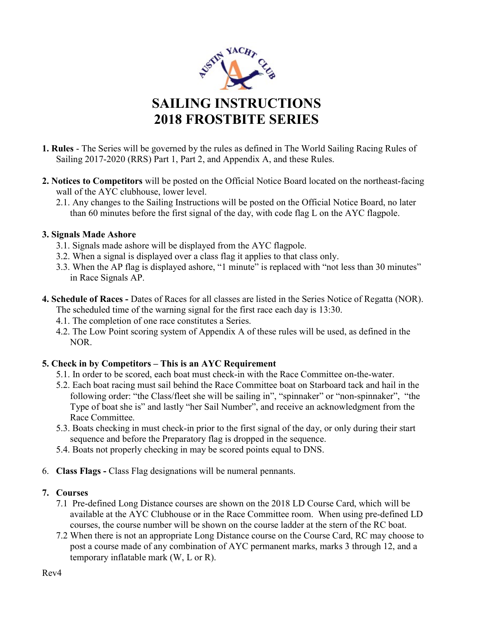

- 1. Rules The Series will be governed by the rules as defined in The World Sailing Racing Rules of Sailing 2017-2020 (RRS) Part 1, Part 2, and Appendix A, and these Rules.
- 2. Notices to Competitors will be posted on the Official Notice Board located on the northeast-facing wall of the AYC clubhouse, lower level.
	- 2.1. Any changes to the Sailing Instructions will be posted on the Official Notice Board, no later than 60 minutes before the first signal of the day, with code flag L on the AYC flagpole.

# 3. Signals Made Ashore

- 3.1. Signals made ashore will be displayed from the AYC flagpole.
- 3.2. When a signal is displayed over a class flag it applies to that class only.
- 3.3. When the AP flag is displayed ashore, "1 minute" is replaced with "not less than 30 minutes" in Race Signals AP.
- 4. Schedule of Races Dates of Races for all classes are listed in the Series Notice of Regatta (NOR). The scheduled time of the warning signal for the first race each day is 13:30.
	- 4.1. The completion of one race constitutes a Series.
	- 4.2. The Low Point scoring system of Appendix A of these rules will be used, as defined in the NOR.

# 5. Check in by Competitors – This is an AYC Requirement

- 5.1. In order to be scored, each boat must check-in with the Race Committee on-the-water.
- 5.2. Each boat racing must sail behind the Race Committee boat on Starboard tack and hail in the following order: "the Class/fleet she will be sailing in", "spinnaker" or "non-spinnaker", "the Type of boat she is" and lastly "her Sail Number", and receive an acknowledgment from the Race Committee.
- 5.3. Boats checking in must check-in prior to the first signal of the day, or only during their start sequence and before the Preparatory flag is dropped in the sequence.
- 5.4. Boats not properly checking in may be scored points equal to DNS.
- 6. Class Flags Class Flag designations will be numeral pennants.

# 7. Courses

- 7.1 Pre-defined Long Distance courses are shown on the 2018 LD Course Card, which will be available at the AYC Clubhouse or in the Race Committee room. When using pre-defined LD courses, the course number will be shown on the course ladder at the stern of the RC boat.
- 7.2 When there is not an appropriate Long Distance course on the Course Card, RC may choose to post a course made of any combination of AYC permanent marks, marks 3 through 12, and a temporary inflatable mark (W, L or R).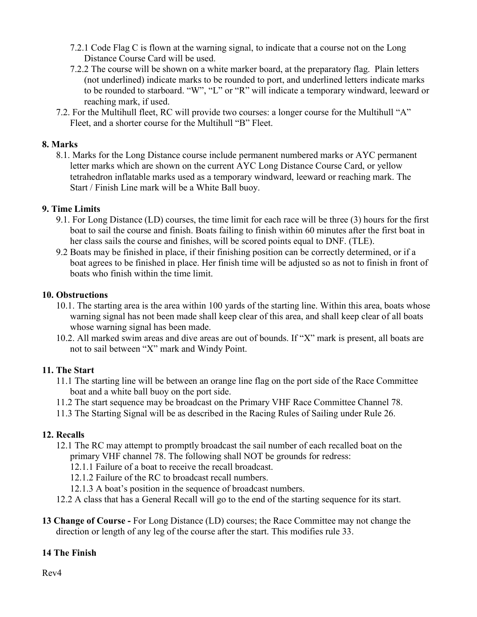- 7.2.1 Code Flag C is flown at the warning signal, to indicate that a course not on the Long Distance Course Card will be used.
- 7.2.2 The course will be shown on a white marker board, at the preparatory flag. Plain letters (not underlined) indicate marks to be rounded to port, and underlined letters indicate marks to be rounded to starboard. "W", "L" or "R" will indicate a temporary windward, leeward or reaching mark, if used.
- 7.2. For the Multihull fleet, RC will provide two courses: a longer course for the Multihull "A" Fleet, and a shorter course for the Multihull "B" Fleet.

## 8. Marks

8.1. Marks for the Long Distance course include permanent numbered marks or AYC permanent letter marks which are shown on the current AYC Long Distance Course Card, or yellow tetrahedron inflatable marks used as a temporary windward, leeward or reaching mark. The Start / Finish Line mark will be a White Ball buoy.

## 9. Time Limits

- 9.1. For Long Distance (LD) courses, the time limit for each race will be three (3) hours for the first boat to sail the course and finish. Boats failing to finish within 60 minutes after the first boat in her class sails the course and finishes, will be scored points equal to DNF. (TLE).
- 9.2 Boats may be finished in place, if their finishing position can be correctly determined, or if a boat agrees to be finished in place. Her finish time will be adjusted so as not to finish in front of boats who finish within the time limit.

## 10. Obstructions

- 10.1. The starting area is the area within 100 yards of the starting line. Within this area, boats whose warning signal has not been made shall keep clear of this area, and shall keep clear of all boats whose warning signal has been made.
- 10.2. All marked swim areas and dive areas are out of bounds. If "X" mark is present, all boats are not to sail between "X" mark and Windy Point.

#### 11. The Start

- 11.1 The starting line will be between an orange line flag on the port side of the Race Committee boat and a white ball buoy on the port side.
- 11.2 The start sequence may be broadcast on the Primary VHF Race Committee Channel 78.
- 11.3 The Starting Signal will be as described in the Racing Rules of Sailing under Rule 26.

#### 12. Recalls

- 12.1 The RC may attempt to promptly broadcast the sail number of each recalled boat on the primary VHF channel 78. The following shall NOT be grounds for redress:
	- 12.1.1 Failure of a boat to receive the recall broadcast.
	- 12.1.2 Failure of the RC to broadcast recall numbers.
	- 12.1.3 A boat's position in the sequence of broadcast numbers.
- 12.2 A class that has a General Recall will go to the end of the starting sequence for its start.
- 13 Change of Course For Long Distance (LD) courses; the Race Committee may not change the direction or length of any leg of the course after the start. This modifies rule 33.

#### 14 The Finish

Rev4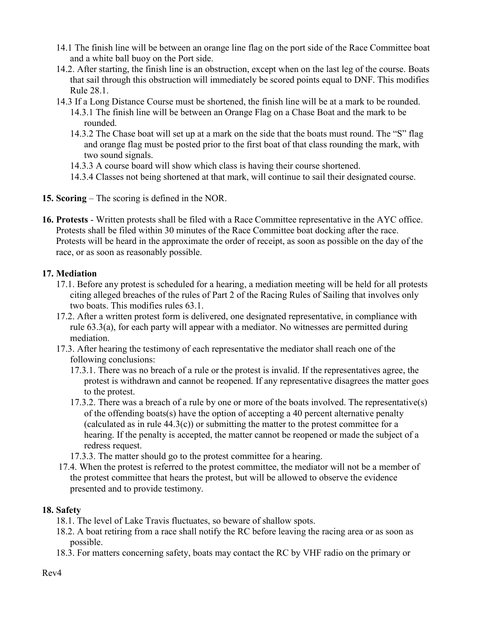- 14.1 The finish line will be between an orange line flag on the port side of the Race Committee boat and a white ball buoy on the Port side.
- 14.2. After starting, the finish line is an obstruction, except when on the last leg of the course. Boats that sail through this obstruction will immediately be scored points equal to DNF. This modifies Rule 28.1.
- 14.3 If a Long Distance Course must be shortened, the finish line will be at a mark to be rounded. 14.3.1 The finish line will be between an Orange Flag on a Chase Boat and the mark to be rounded.
	- 14.3.2 The Chase boat will set up at a mark on the side that the boats must round. The "S" flag and orange flag must be posted prior to the first boat of that class rounding the mark, with two sound signals.
	- 14.3.3 A course board will show which class is having their course shortened.
	- 14.3.4 Classes not being shortened at that mark, will continue to sail their designated course.
- 15. Scoring The scoring is defined in the NOR.
- 16. Protests Written protests shall be filed with a Race Committee representative in the AYC office. Protests shall be filed within 30 minutes of the Race Committee boat docking after the race. Protests will be heard in the approximate the order of receipt, as soon as possible on the day of the race, or as soon as reasonably possible.

## 17. Mediation

- 17.1. Before any protest is scheduled for a hearing, a mediation meeting will be held for all protests citing alleged breaches of the rules of Part 2 of the Racing Rules of Sailing that involves only two boats. This modifies rules 63.1.
- 17.2. After a written protest form is delivered, one designated representative, in compliance with rule 63.3(a), for each party will appear with a mediator. No witnesses are permitted during mediation.
- 17.3. After hearing the testimony of each representative the mediator shall reach one of the following conclusions:
	- 17.3.1. There was no breach of a rule or the protest is invalid. If the representatives agree, the protest is withdrawn and cannot be reopened. If any representative disagrees the matter goes to the protest.
	- 17.3.2. There was a breach of a rule by one or more of the boats involved. The representative(s) of the offending boats(s) have the option of accepting a 40 percent alternative penalty (calculated as in rule  $44.3(c)$ ) or submitting the matter to the protest committee for a hearing. If the penalty is accepted, the matter cannot be reopened or made the subject of a redress request.
	- 17.3.3. The matter should go to the protest committee for a hearing.
- 17.4. When the protest is referred to the protest committee, the mediator will not be a member of the protest committee that hears the protest, but will be allowed to observe the evidence presented and to provide testimony.

#### 18. Safety

- 18.1. The level of Lake Travis fluctuates, so beware of shallow spots.
- 18.2. A boat retiring from a race shall notify the RC before leaving the racing area or as soon as possible.
- 18.3. For matters concerning safety, boats may contact the RC by VHF radio on the primary or